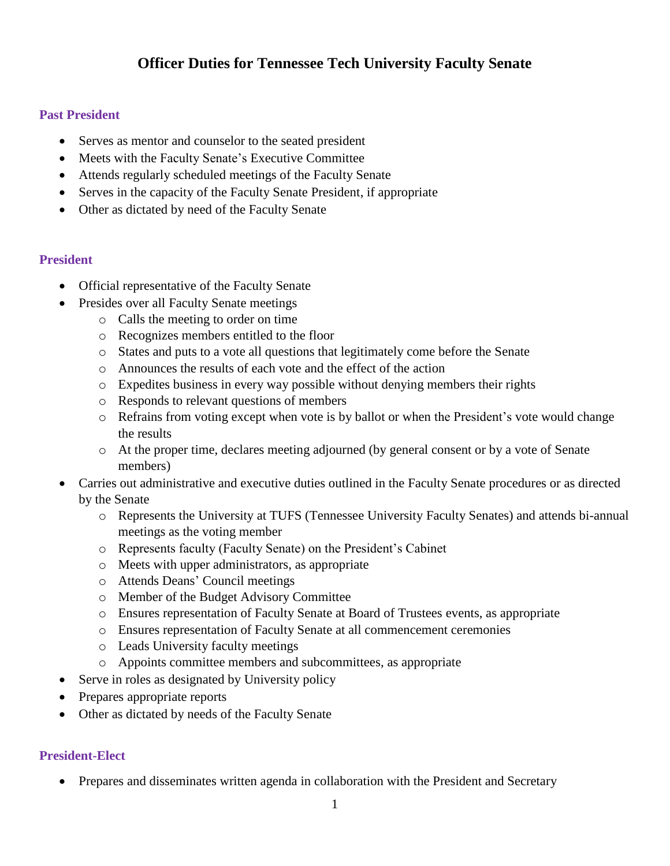# **Officer Duties for Tennessee Tech University Faculty Senate**

## **Past President**

- Serves as mentor and counselor to the seated president
- Meets with the Faculty Senate's Executive Committee
- Attends regularly scheduled meetings of the Faculty Senate
- Serves in the capacity of the Faculty Senate President, if appropriate
- Other as dictated by need of the Faculty Senate

### **President**

- Official representative of the Faculty Senate
- Presides over all Faculty Senate meetings
	- o Calls the meeting to order on time
	- o Recognizes members entitled to the floor
	- o States and puts to a vote all questions that legitimately come before the Senate
	- o Announces the results of each vote and the effect of the action
	- o Expedites business in every way possible without denying members their rights
	- o Responds to relevant questions of members
	- o Refrains from voting except when vote is by ballot or when the President's vote would change the results
	- o At the proper time, declares meeting adjourned (by general consent or by a vote of Senate members)
- Carries out administrative and executive duties outlined in the Faculty Senate procedures or as directed by the Senate
	- o Represents the University at TUFS (Tennessee University Faculty Senates) and attends bi-annual meetings as the voting member
	- o Represents faculty (Faculty Senate) on the President's Cabinet
	- o Meets with upper administrators, as appropriate
	- o Attends Deans' Council meetings
	- o Member of the Budget Advisory Committee
	- o Ensures representation of Faculty Senate at Board of Trustees events, as appropriate
	- o Ensures representation of Faculty Senate at all commencement ceremonies
	- o Leads University faculty meetings
	- o Appoints committee members and subcommittees, as appropriate
- Serve in roles as designated by University policy
- Prepares appropriate reports
- Other as dictated by needs of the Faculty Senate

## **President-Elect**

• Prepares and disseminates written agenda in collaboration with the President and Secretary